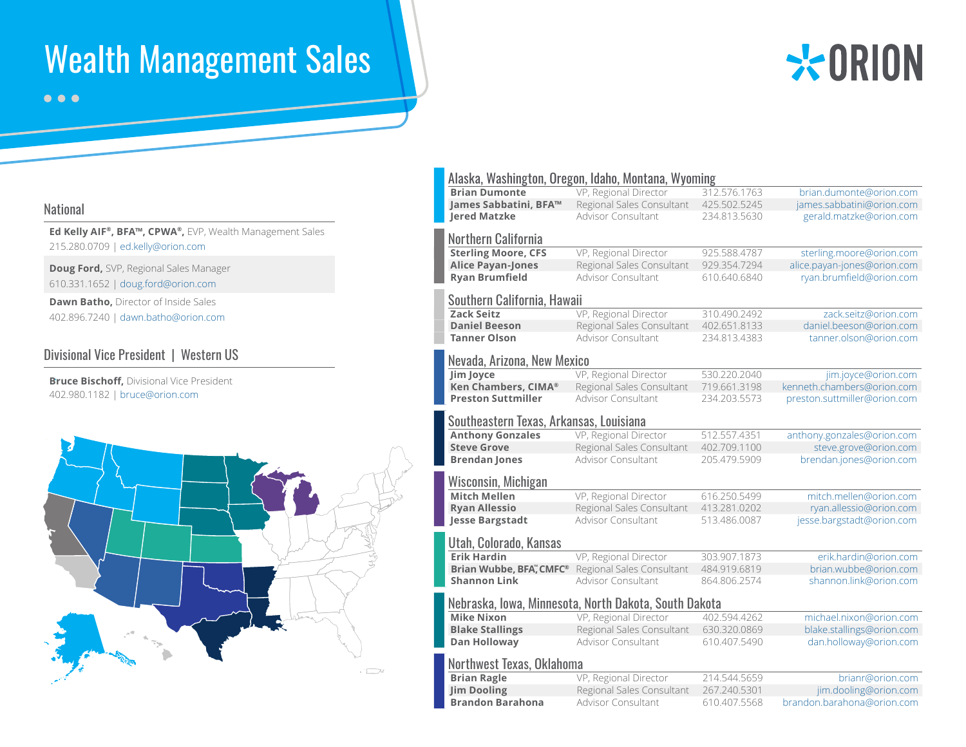# Wealth Management Sales



 $\bullet\bullet\bullet$ 

#### National

**Ed Kelly AIF®, BFA™, CPWA®,** EVP, Wealth Management Sales 215.280.0709 | ed.kelly@orion.com

**Doug Ford,** SVP, Regional Sales Manager 610.331.1652 | doug.ford@orion.com

**Dawn Batho,** Director of Inside Sales 402.896.7240 | dawn.batho@orion.com

## Divisional Vice President | Western US

**Bruce Bischoff,** Divisional Vice President 402.980.1182 | bruce@orion.com



| Alaska, Washington, Oregon, Idaho, Montana, Wyoming   |                           |              |                              |  |
|-------------------------------------------------------|---------------------------|--------------|------------------------------|--|
| <b>Brian Dumonte</b>                                  | VP, Regional Director     | 312.576.1763 | brian.dumonte@orion.com      |  |
| James Sabbatini, BFA™                                 | Regional Sales Consultant | 425.502.5245 | james.sabbatini@orion.com    |  |
| <b>Jered Matzke</b>                                   | <b>Advisor Consultant</b> | 234.813.5630 | gerald.matzke@orion.com      |  |
| <b>Northern California</b>                            |                           |              |                              |  |
| <b>Sterling Moore, CFS</b>                            | VP, Regional Director     | 925.588.4787 | sterling.moore@orion.com     |  |
| <b>Alice Payan-Jones</b>                              | Regional Sales Consultant | 929.354.7294 | alice.payan-jones@orion.com  |  |
| <b>Ryan Brumfield</b>                                 | <b>Advisor Consultant</b> | 610.640.6840 | ryan.brumfield@orion.com     |  |
| Southern California, Hawaii                           |                           |              |                              |  |
| <b>Zack Seitz</b>                                     | VP, Regional Director     | 310.490.2492 | zack.seitz@orion.com         |  |
| <b>Daniel Beeson</b>                                  | Regional Sales Consultant | 402.651.8133 | daniel.beeson@orion.com      |  |
| <b>Tanner Olson</b>                                   | <b>Advisor Consultant</b> | 234.813.4383 | tanner.olson@orion.com       |  |
| Nevada, Arizona, New Mexico                           |                           |              |                              |  |
| Jim Joyce                                             | VP, Regional Director     | 530.220.2040 | jim.joyce@orion.com          |  |
| Ken Chambers, CIMA®                                   | Regional Sales Consultant | 719.661.3198 | kenneth.chambers@orion.com   |  |
| <b>Preston Suttmiller</b>                             | <b>Advisor Consultant</b> | 234.203.5573 | preston.suttmiller@orion.com |  |
| Southeastern Texas, Arkansas, Louisiana               |                           |              |                              |  |
| <b>Anthony Gonzales</b>                               | VP, Regional Director     | 512.557.4351 | anthony.gonzales@orion.com   |  |
| <b>Steve Grove</b>                                    | Regional Sales Consultant | 402.709.1100 | steve.grove@orion.com        |  |
| <b>Brendan Jones</b>                                  | <b>Advisor Consultant</b> | 205.479.5909 | brendan.jones@orion.com      |  |
| Wisconsin, Michigan                                   |                           |              |                              |  |
| <b>Mitch Mellen</b>                                   | VP, Regional Director     | 616.250.5499 | mitch.mellen@orion.com       |  |
| <b>Ryan Allessio</b>                                  | Regional Sales Consultant | 413.281.0202 | ryan.allessio@orion.com      |  |
| <b>Jesse Bargstadt</b>                                | Advisor Consultant        | 513.486.0087 | jesse.bargstadt@orion.com    |  |
| Utah, Colorado, Kansas                                |                           |              |                              |  |
| <b>Erik Hardin</b>                                    | VP, Regional Director     | 303.907.1873 | erik.hardin@orion.com        |  |
| <b>Brian Wubbe, BFA<sup>™</sup>, CMFC<sup>®</sup></b> | Regional Sales Consultant | 484.919.6819 | brian.wubbe@orion.com        |  |
| <b>Shannon Link</b>                                   | <b>Advisor Consultant</b> | 864.806.2574 | shannon.link@orion.com       |  |
| Nebraska, Iowa, Minnesota, North Dakota, South Dakota |                           |              |                              |  |
| <b>Mike Nixon</b>                                     | VP, Regional Director     | 402.594.4262 | michael.nixon@orion.com      |  |
| <b>Blake Stallings</b>                                | Regional Sales Consultant | 630.320.0869 | blake.stallings@orion.com    |  |
| <b>Dan Holloway</b>                                   | Advisor Consultant        | 610.407.5490 | dan.holloway@orion.com       |  |
| Northwest Texas, Oklahoma                             |                           |              |                              |  |
| <b>Brian Ragle</b>                                    | VP, Regional Director     | 214.544.5659 | brianr@orion.com             |  |
| <b>Jim Dooling</b>                                    | Regional Sales Consultant | 267.240.5301 | jim.dooling@orion.com        |  |
| <b>Brandon Barahona</b>                               | <b>Advisor Consultant</b> | 610.407.5568 | brandon.barahona@orion.com   |  |
|                                                       |                           |              |                              |  |